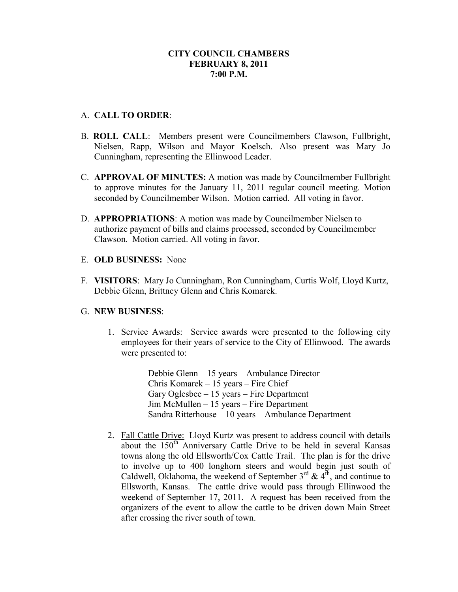# A. **CALL TO ORDER**:

- B. **ROLL CALL**: Members present were Councilmembers Clawson, Fullbright, Nielsen, Rapp, Wilson and Mayor Koelsch. Also present was Mary Jo Cunningham, representing the Ellinwood Leader.
- C. **APPROVAL OF MINUTES:** A motion was made by Councilmember Fullbright to approve minutes for the January 11, 2011 regular council meeting. Motion seconded by Councilmember Wilson. Motion carried. All voting in favor.
- D. **APPROPRIATIONS**: A motion was made by Councilmember Nielsen to authorize payment of bills and claims processed, seconded by Councilmember Clawson. Motion carried. All voting in favor.
- E. **OLD BUSINESS:** None
- F. **VISITORS**: Mary Jo Cunningham, Ron Cunningham, Curtis Wolf, Lloyd Kurtz, Debbie Glenn, Brittney Glenn and Chris Komarek.

### G. **NEW BUSINESS**:

1. Service Awards: Service awards were presented to the following city employees for their years of service to the City of Ellinwood. The awards were presented to:

> Debbie Glenn – 15 years – Ambulance Director Chris Komarek – 15 years – Fire Chief Gary Oglesbee – 15 years – Fire Department Jim McMullen – 15 years – Fire Department Sandra Ritterhouse – 10 years – Ambulance Department

2. Fall Cattle Drive: Lloyd Kurtz was present to address council with details about the 150<sup>th</sup> Anniversary Cattle Drive to be held in several Kansas towns along the old Ellsworth/Cox Cattle Trail. The plan is for the drive to involve up to 400 longhorn steers and would begin just south of Caldwell, Oklahoma, the weekend of September  $3^{rd}$  &  $4^{th}$ , and continue to Ellsworth, Kansas. The cattle drive would pass through Ellinwood the weekend of September 17, 2011. A request has been received from the organizers of the event to allow the cattle to be driven down Main Street after crossing the river south of town.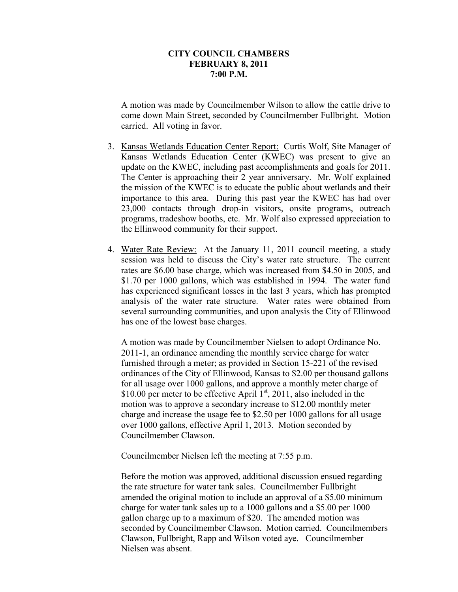A motion was made by Councilmember Wilson to allow the cattle drive to come down Main Street, seconded by Councilmember Fullbright. Motion carried. All voting in favor.

- 3. Kansas Wetlands Education Center Report: Curtis Wolf, Site Manager of Kansas Wetlands Education Center (KWEC) was present to give an update on the KWEC, including past accomplishments and goals for 2011. The Center is approaching their 2 year anniversary. Mr. Wolf explained the mission of the KWEC is to educate the public about wetlands and their importance to this area. During this past year the KWEC has had over 23,000 contacts through drop-in visitors, onsite programs, outreach programs, tradeshow booths, etc. Mr. Wolf also expressed appreciation to the Ellinwood community for their support.
- 4. Water Rate Review: At the January 11, 2011 council meeting, a study session was held to discuss the City's water rate structure. The current rates are \$6.00 base charge, which was increased from \$4.50 in 2005, and \$1.70 per 1000 gallons, which was established in 1994. The water fund has experienced significant losses in the last 3 years, which has prompted analysis of the water rate structure. Water rates were obtained from several surrounding communities, and upon analysis the City of Ellinwood has one of the lowest base charges.

A motion was made by Councilmember Nielsen to adopt Ordinance No. 2011-1, an ordinance amending the monthly service charge for water furnished through a meter; as provided in Section 15-221 of the revised ordinances of the City of Ellinwood, Kansas to \$2.00 per thousand gallons for all usage over 1000 gallons, and approve a monthly meter charge of \$10.00 per meter to be effective April  $1<sup>st</sup>$ , 2011, also included in the motion was to approve a secondary increase to \$12.00 monthly meter charge and increase the usage fee to \$2.50 per 1000 gallons for all usage over 1000 gallons, effective April 1, 2013. Motion seconded by Councilmember Clawson.

Councilmember Nielsen left the meeting at 7:55 p.m.

Before the motion was approved, additional discussion ensued regarding the rate structure for water tank sales. Councilmember Fullbright amended the original motion to include an approval of a \$5.00 minimum charge for water tank sales up to a 1000 gallons and a \$5.00 per 1000 gallon charge up to a maximum of \$20. The amended motion was seconded by Councilmember Clawson. Motion carried. Councilmembers Clawson, Fullbright, Rapp and Wilson voted aye. Councilmember Nielsen was absent.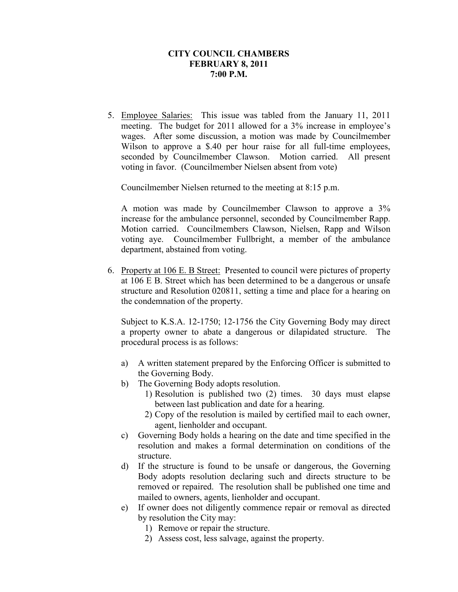5. Employee Salaries: This issue was tabled from the January 11, 2011 meeting. The budget for 2011 allowed for a 3% increase in employee's wages. After some discussion, a motion was made by Councilmember Wilson to approve a \$.40 per hour raise for all full-time employees, seconded by Councilmember Clawson. Motion carried. All present voting in favor. (Councilmember Nielsen absent from vote)

Councilmember Nielsen returned to the meeting at 8:15 p.m.

A motion was made by Councilmember Clawson to approve a 3% increase for the ambulance personnel, seconded by Councilmember Rapp. Motion carried. Councilmembers Clawson, Nielsen, Rapp and Wilson voting aye. Councilmember Fullbright, a member of the ambulance department, abstained from voting.

6. Property at 106 E. B Street: Presented to council were pictures of property at 106 E B. Street which has been determined to be a dangerous or unsafe structure and Resolution 020811, setting a time and place for a hearing on the condemnation of the property.

Subject to K.S.A. 12-1750; 12-1756 the City Governing Body may direct a property owner to abate a dangerous or dilapidated structure. The procedural process is as follows:

- a) A written statement prepared by the Enforcing Officer is submitted to the Governing Body.
- b) The Governing Body adopts resolution.
	- 1) Resolution is published two (2) times. 30 days must elapse between last publication and date for a hearing.
	- 2) Copy of the resolution is mailed by certified mail to each owner, agent, lienholder and occupant.
- c) Governing Body holds a hearing on the date and time specified in the resolution and makes a formal determination on conditions of the structure.
- d) If the structure is found to be unsafe or dangerous, the Governing Body adopts resolution declaring such and directs structure to be removed or repaired. The resolution shall be published one time and mailed to owners, agents, lienholder and occupant.
- e) If owner does not diligently commence repair or removal as directed by resolution the City may:
	- 1) Remove or repair the structure.
	- 2) Assess cost, less salvage, against the property.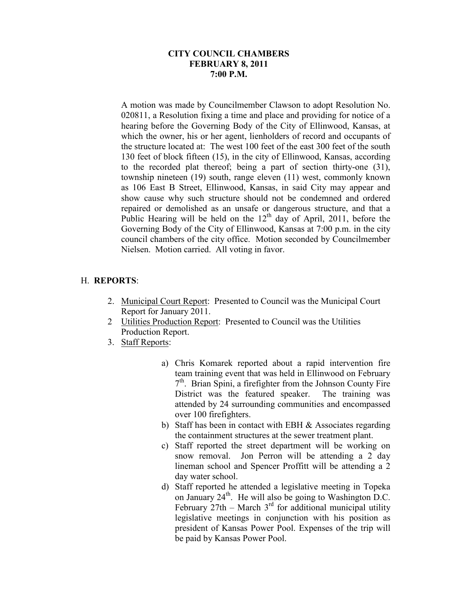A motion was made by Councilmember Clawson to adopt Resolution No. 020811, a Resolution fixing a time and place and providing for notice of a hearing before the Governing Body of the City of Ellinwood, Kansas, at which the owner, his or her agent, lienholders of record and occupants of the structure located at: The west 100 feet of the east 300 feet of the south 130 feet of block fifteen (15), in the city of Ellinwood, Kansas, according to the recorded plat thereof; being a part of section thirty-one (31), township nineteen (19) south, range eleven (11) west, commonly known as 106 East B Street, Ellinwood, Kansas, in said City may appear and show cause why such structure should not be condemned and ordered repaired or demolished as an unsafe or dangerous structure, and that a Public Hearing will be held on the  $12<sup>th</sup>$  day of April, 2011, before the Governing Body of the City of Ellinwood, Kansas at 7:00 p.m. in the city council chambers of the city office. Motion seconded by Councilmember Nielsen. Motion carried. All voting in favor.

# H. **REPORTS**:

- 2. Municipal Court Report: Presented to Council was the Municipal Court Report for January 2011.
- 2 Utilities Production Report: Presented to Council was the Utilities Production Report.
- 3. Staff Reports:
	- a) Chris Komarek reported about a rapid intervention fire team training event that was held in Ellinwood on February 7<sup>th</sup>. Brian Spini, a firefighter from the Johnson County Fire District was the featured speaker. The training was attended by 24 surrounding communities and encompassed over 100 firefighters.
	- b) Staff has been in contact with EBH & Associates regarding the containment structures at the sewer treatment plant.
	- c) Staff reported the street department will be working on snow removal. Jon Perron will be attending a 2 day lineman school and Spencer Proffitt will be attending a 2 day water school.
	- d) Staff reported he attended a legislative meeting in Topeka on January  $24<sup>th</sup>$ . He will also be going to Washington D.C. February  $27th$  – March  $3<sup>rd</sup>$  for additional municipal utility legislative meetings in conjunction with his position as president of Kansas Power Pool. Expenses of the trip will be paid by Kansas Power Pool.